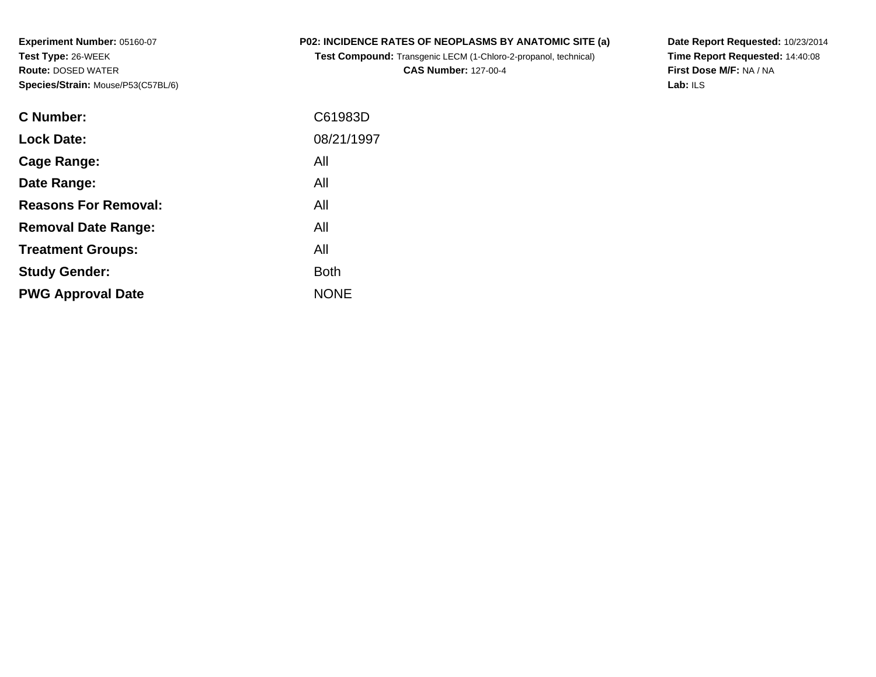**Experiment Number:** 05160-07**Test Type:** 26-WEEK **Route:** DOSED WATER**Species/Strain:** Mouse/P53(C57BL/6)

## **P02: INCIDENCE RATES OF NEOPLASMS BY ANATOMIC SITE (a)**

**Test Compound:** Transgenic LECM (1-Chloro-2-propanol, technical)

**CAS Number:** 127-00-4

**Date Report Requested:** 10/23/2014 **Time Report Requested:** 14:40:08**First Dose M/F:** NA / NA**Lab:** ILS

| <b>C</b> Number:            | C61983D     |
|-----------------------------|-------------|
| <b>Lock Date:</b>           | 08/21/1997  |
| Cage Range:                 | All         |
| Date Range:                 | All         |
| <b>Reasons For Removal:</b> | All         |
| <b>Removal Date Range:</b>  | All         |
| <b>Treatment Groups:</b>    | All         |
| <b>Study Gender:</b>        | <b>Both</b> |
| <b>PWG Approval Date</b>    | <b>NONE</b> |
|                             |             |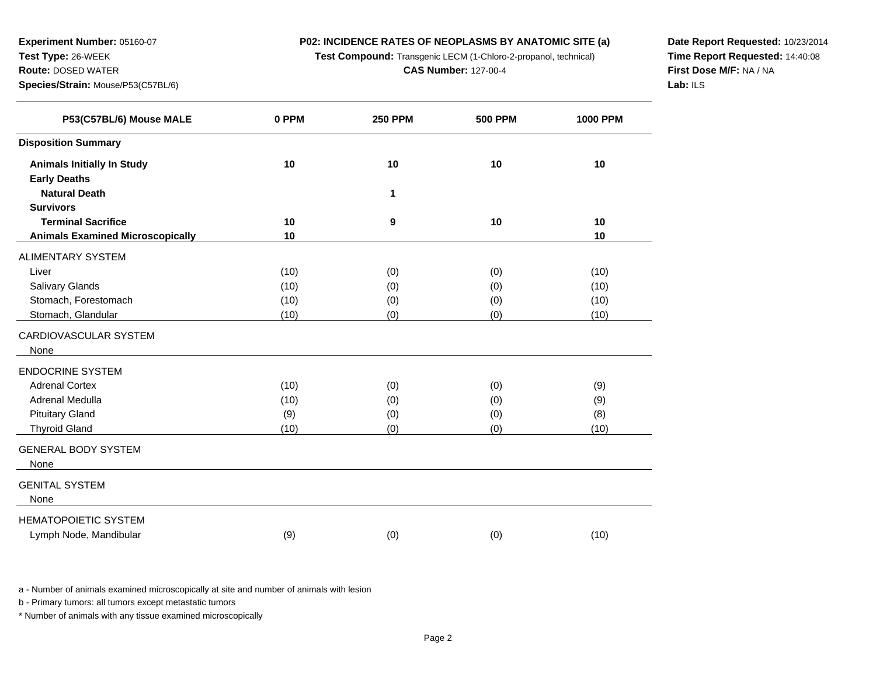**Test Compound:** Transgenic LECM (1-Chloro-2-propanol, technical)

**CAS Number:** 127-00-4

**Date Report Requested:** 10/23/2014**Time Report Requested:** 14:40:08**First Dose M/F:** NA / NA**Lab:** ILS

| P53(C57BL/6) Mouse MALE                 | 0 PPM | <b>250 PPM</b> | <b>500 PPM</b> | <b>1000 PPM</b> |
|-----------------------------------------|-------|----------------|----------------|-----------------|
| <b>Disposition Summary</b>              |       |                |                |                 |
| <b>Animals Initially In Study</b>       | 10    | 10             | 10             | 10              |
| <b>Early Deaths</b>                     |       |                |                |                 |
| <b>Natural Death</b>                    |       | 1              |                |                 |
| <b>Survivors</b>                        |       |                |                |                 |
| <b>Terminal Sacrifice</b>               | 10    | 9              | 10             | 10              |
| <b>Animals Examined Microscopically</b> | 10    |                |                | 10              |
| ALIMENTARY SYSTEM                       |       |                |                |                 |
| Liver                                   | (10)  | (0)            | (0)            | (10)            |
| Salivary Glands                         | (10)  | (0)            | (0)            | (10)            |
| Stomach, Forestomach                    | (10)  | (0)            | (0)            | (10)            |
| Stomach, Glandular                      | (10)  | (0)            | (0)            | (10)            |
| CARDIOVASCULAR SYSTEM                   |       |                |                |                 |
| None                                    |       |                |                |                 |
| ENDOCRINE SYSTEM                        |       |                |                |                 |
| <b>Adrenal Cortex</b>                   | (10)  | (0)            | (0)            | (9)             |
| Adrenal Medulla                         | (10)  | (0)            | (0)            | (9)             |
| <b>Pituitary Gland</b>                  | (9)   | (0)            | (0)            | (8)             |
| <b>Thyroid Gland</b>                    | (10)  | (0)            | (0)            | (10)            |
| <b>GENERAL BODY SYSTEM</b>              |       |                |                |                 |
| None                                    |       |                |                |                 |
| GENITAL SYSTEM                          |       |                |                |                 |
| None                                    |       |                |                |                 |
|                                         |       |                |                |                 |
| <b>HEMATOPOIETIC SYSTEM</b>             |       |                |                |                 |
| Lymph Node, Mandibular                  | (9)   | (0)            | (0)            | (10)            |

a - Number of animals examined microscopically at site and number of animals with lesion

b - Primary tumors: all tumors except metastatic tumors

**Experiment Number:** 05160-07

**Species/Strain:** Mouse/P53(C57BL/6)

**Test Type:** 26-WEEK**Route:** DOSED WATER

 $\overline{\phantom{0}}$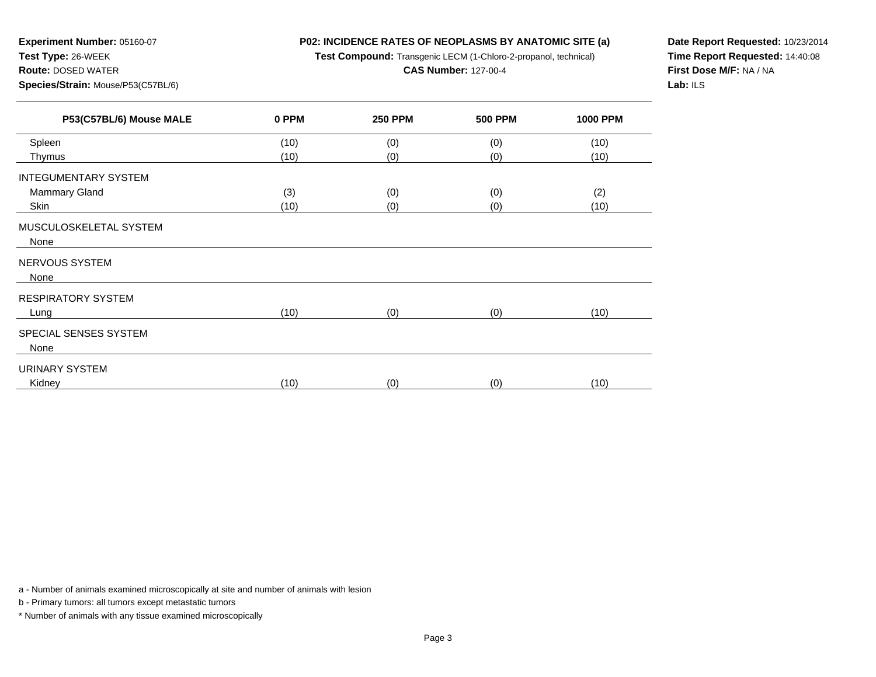**Test Compound:** Transgenic LECM (1-Chloro-2-propanol, technical)

**CAS Number:** 127-00-4

**Date Report Requested:** 10/23/2014**Time Report Requested:** 14:40:08**First Dose M/F:** NA / NA**Lab:** ILS

| P53(C57BL/6) Mouse MALE     | 0 PPM | <b>250 PPM</b> | <b>500 PPM</b> | <b>1000 PPM</b> |
|-----------------------------|-------|----------------|----------------|-----------------|
| Spleen                      | (10)  | (0)            | (0)            | (10)            |
| Thymus                      | (10)  | (0)            | (0)            | (10)            |
| <b>INTEGUMENTARY SYSTEM</b> |       |                |                |                 |
| Mammary Gland               | (3)   | (0)            | (0)            | (2)             |
| Skin                        | (10)  | (0)            | (0)            | (10)            |
| MUSCULOSKELETAL SYSTEM      |       |                |                |                 |
| None                        |       |                |                |                 |
| NERVOUS SYSTEM              |       |                |                |                 |
| None                        |       |                |                |                 |
| <b>RESPIRATORY SYSTEM</b>   |       |                |                |                 |
| Lung                        | (10)  | (0)            | (0)            | (10)            |
| SPECIAL SENSES SYSTEM       |       |                |                |                 |
| None                        |       |                |                |                 |
| URINARY SYSTEM              |       |                |                |                 |
| Kidney                      | (10)  | (0)            | (0)            | (10)            |

a - Number of animals examined microscopically at site and number of animals with lesion

b - Primary tumors: all tumors except metastatic tumors

**Experiment Number:** 05160-07

**Species/Strain:** Mouse/P53(C57BL/6)

**Test Type:** 26-WEEK**Route:** DOSED WATER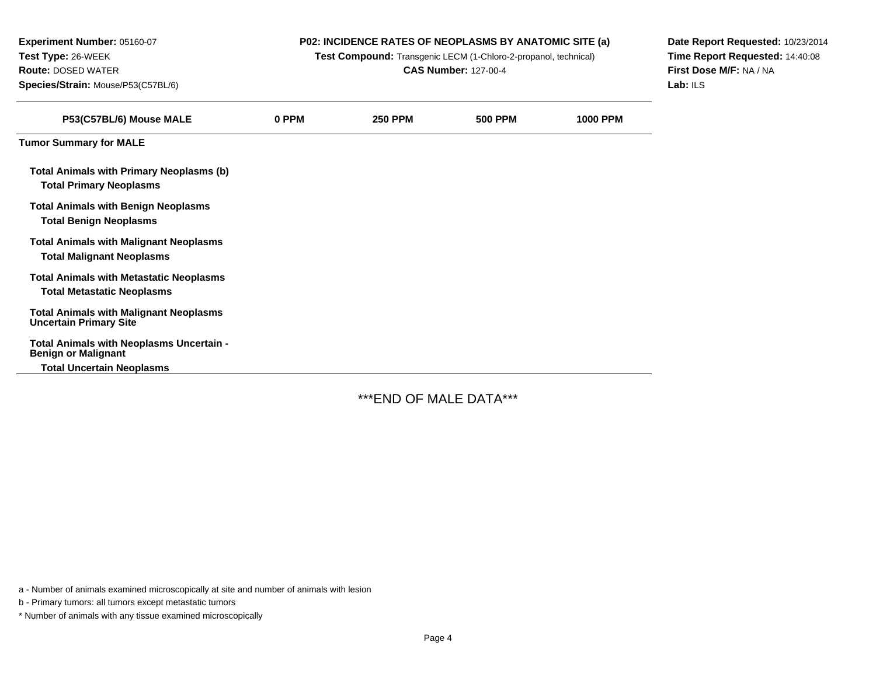| Experiment Number: 05160-07                                                           | <b>P02: INCIDENCE RATES OF NEOPLASMS BY ANATOMIC SITE (a)</b> |                |                |                 | Date Report Requested: 10/23/2014 |
|---------------------------------------------------------------------------------------|---------------------------------------------------------------|----------------|----------------|-----------------|-----------------------------------|
| Test Type: 26-WEEK<br>Test Compound: Transgenic LECM (1-Chloro-2-propanol, technical) |                                                               |                |                |                 | Time Report Requested: 14:40:08   |
| <b>Route: DOSED WATER</b>                                                             | <b>CAS Number: 127-00-4</b>                                   |                |                |                 | First Dose M/F: NA / NA           |
| Species/Strain: Mouse/P53(C57BL/6)                                                    |                                                               |                |                |                 | Lab: $ILS$                        |
| P53(C57BL/6) Mouse MALE                                                               | 0 PPM                                                         | <b>250 PPM</b> | <b>500 PPM</b> | <b>1000 PPM</b> |                                   |
| <b>Tumor Summary for MALE</b>                                                         |                                                               |                |                |                 |                                   |
| <b>Total Animals with Primary Neoplasms (b)</b><br><b>Total Primary Neoplasms</b>     |                                                               |                |                |                 |                                   |
| <b>Total Animals with Benign Neoplasms</b><br><b>Total Benign Neoplasms</b>           |                                                               |                |                |                 |                                   |
| <b>Total Animals with Malignant Neoplasms</b><br><b>Total Malignant Neoplasms</b>     |                                                               |                |                |                 |                                   |
| <b>Total Animals with Metastatic Neoplasms</b><br><b>Total Metastatic Neoplasms</b>   |                                                               |                |                |                 |                                   |
| <b>Total Animals with Malignant Neoplasms</b><br><b>Uncertain Primary Site</b>        |                                                               |                |                |                 |                                   |
| Total Animals with Neoplasms Uncertain -<br><b>Benign or Malignant</b>                |                                                               |                |                |                 |                                   |
| <b>Total Uncertain Neoplasms</b>                                                      |                                                               |                |                |                 |                                   |

\*\*\*END OF MALE DATA\*\*\*

a - Number of animals examined microscopically at site and number of animals with lesion

b - Primary tumors: all tumors except metastatic tumors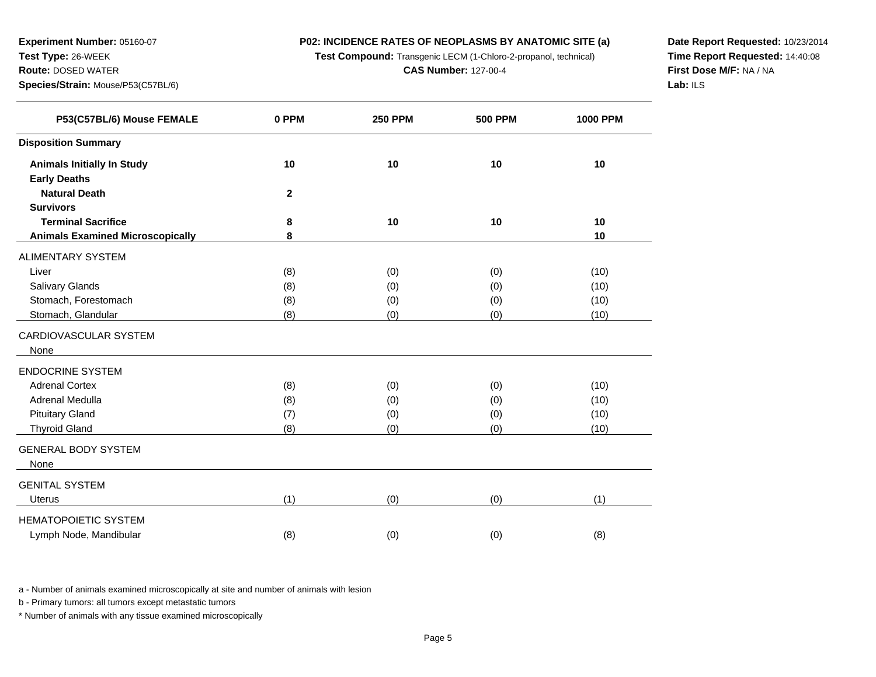**Test Compound:** Transgenic LECM (1-Chloro-2-propanol, technical)

**CAS Number:** 127-00-4

**Date Report Requested:** 10/23/2014**Time Report Requested:** 14:40:08**First Dose M/F:** NA / NA**Lab:** ILS

| P53(C57BL/6) Mouse FEMALE               | 0 PPM        | <b>250 PPM</b> | <b>500 PPM</b> | <b>1000 PPM</b> |
|-----------------------------------------|--------------|----------------|----------------|-----------------|
| <b>Disposition Summary</b>              |              |                |                |                 |
| <b>Animals Initially In Study</b>       | 10           | 10             | 10             | 10              |
| <b>Early Deaths</b>                     |              |                |                |                 |
| <b>Natural Death</b>                    | $\mathbf{2}$ |                |                |                 |
| <b>Survivors</b>                        |              |                |                |                 |
| <b>Terminal Sacrifice</b>               | 8            | 10             | 10             | 10              |
| <b>Animals Examined Microscopically</b> | 8            |                |                | 10              |
| ALIMENTARY SYSTEM                       |              |                |                |                 |
| Liver                                   | (8)          | (0)            | (0)            | (10)            |
| Salivary Glands                         | (8)          | (0)            | (0)            | (10)            |
| Stomach, Forestomach                    | (8)          | (0)            | (0)            | (10)            |
| Stomach, Glandular                      | (8)          | (0)            | (0)            | (10)            |
| CARDIOVASCULAR SYSTEM                   |              |                |                |                 |
| None                                    |              |                |                |                 |
| <b>ENDOCRINE SYSTEM</b>                 |              |                |                |                 |
| <b>Adrenal Cortex</b>                   | (8)          | (0)            | (0)            | (10)            |
| Adrenal Medulla                         | (8)          | (0)            | (0)            | (10)            |
| <b>Pituitary Gland</b>                  | (7)          | (0)            | (0)            | (10)            |
| <b>Thyroid Gland</b>                    | (8)          | (0)            | (0)            | (10)            |
| <b>GENERAL BODY SYSTEM</b>              |              |                |                |                 |
| None                                    |              |                |                |                 |
| GENITAL SYSTEM                          |              |                |                |                 |
| <b>Uterus</b>                           | (1)          | (0)            | (0)            | (1)             |
| <b>HEMATOPOIETIC SYSTEM</b>             |              |                |                |                 |
| Lymph Node, Mandibular                  | (8)          | (0)            | (0)            | (8)             |

a - Number of animals examined microscopically at site and number of animals with lesion

b - Primary tumors: all tumors except metastatic tumors

**Experiment Number:** 05160-07

**Species/Strain:** Mouse/P53(C57BL/6)

**Test Type:** 26-WEEK**Route:** DOSED WATER

 $\overline{\phantom{0}}$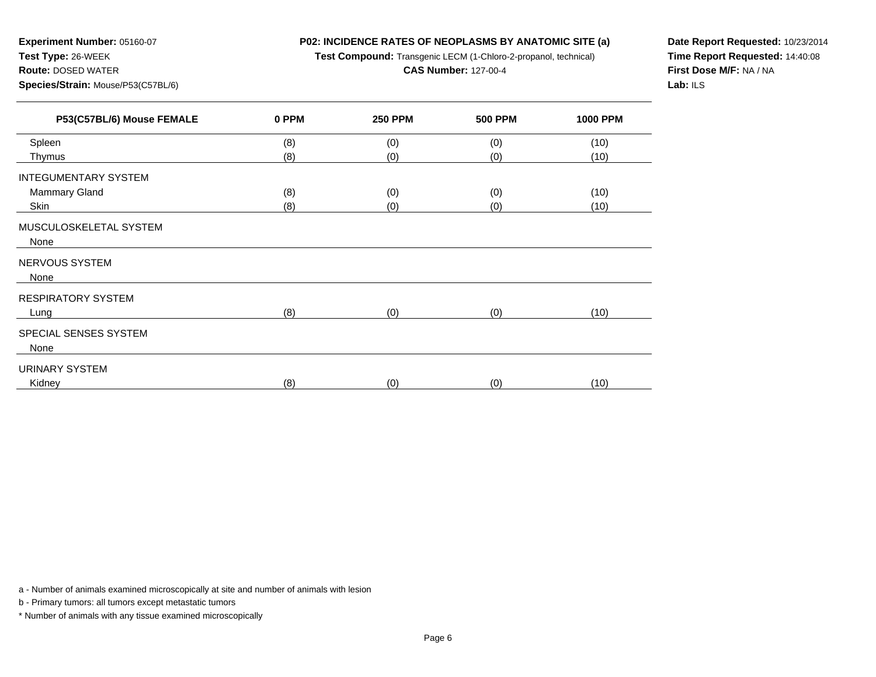**Test Compound:** Transgenic LECM (1-Chloro-2-propanol, technical)

**CAS Number:** 127-00-4

**Date Report Requested:** 10/23/2014**Time Report Requested:** 14:40:08**First Dose M/F:** NA / NA**Lab:** ILS

| P53(C57BL/6) Mouse FEMALE   | 0 PPM | <b>250 PPM</b> | <b>500 PPM</b> | <b>1000 PPM</b> |
|-----------------------------|-------|----------------|----------------|-----------------|
| Spleen                      | (8)   | (0)            | (0)            | (10)            |
| Thymus                      | (8)   | (0)            | (0)            | (10)            |
| <b>INTEGUMENTARY SYSTEM</b> |       |                |                |                 |
| <b>Mammary Gland</b>        | (8)   | (0)            | (0)            | (10)            |
| Skin                        | (8)   | (0)            | (0)            | (10)            |
| MUSCULOSKELETAL SYSTEM      |       |                |                |                 |
| None                        |       |                |                |                 |
| NERVOUS SYSTEM              |       |                |                |                 |
| None                        |       |                |                |                 |
| <b>RESPIRATORY SYSTEM</b>   |       |                |                |                 |
| Lung                        | (8)   | (0)            | (0)            | (10)            |
| SPECIAL SENSES SYSTEM       |       |                |                |                 |
| None                        |       |                |                |                 |
| <b>URINARY SYSTEM</b>       |       |                |                |                 |
| Kidney                      | (8)   | (0)            | (0)            | (10)            |
|                             |       |                |                |                 |

a - Number of animals examined microscopically at site and number of animals with lesion

b - Primary tumors: all tumors except metastatic tumors